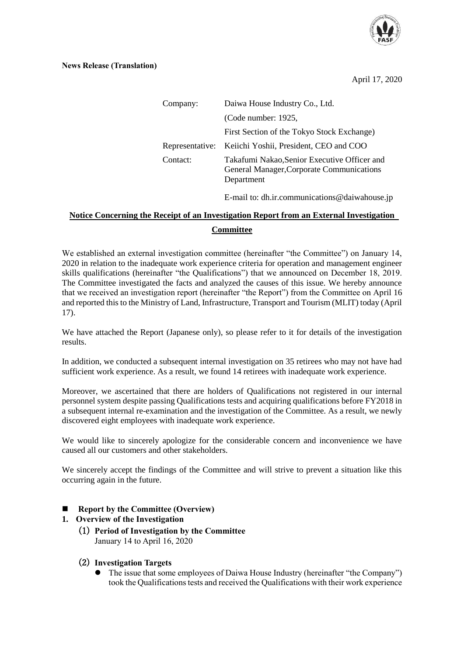

April 17, 2020

| Company: | Daiwa House Industry Co., Ltd.                                                                          |
|----------|---------------------------------------------------------------------------------------------------------|
|          | (Code number: 1925,                                                                                     |
|          | First Section of the Tokyo Stock Exchange)                                                              |
|          | Representative: Keiichi Yoshii, President, CEO and COO                                                  |
| Contact: | Takafumi Nakao, Senior Executive Officer and<br>General Manager, Corporate Communications<br>Department |

E-mail to: dh.ir.communications@daiwahouse.jp

## **Notice Concerning the Receipt of an Investigation Report from an External Investigation Committee**

We established an external investigation committee (hereinafter "the Committee") on January 14, 2020 in relation to the inadequate work experience criteria for operation and management engineer skills qualifications (hereinafter "the Qualifications") that we announced on December 18, 2019. The Committee investigated the facts and analyzed the causes of this issue. We hereby announce that we received an investigation report (hereinafter "the Report") from the Committee on April 16 and reported this to the Ministry of Land, Infrastructure, Transport and Tourism (MLIT) today (April 17).

We have attached the Report (Japanese only), so please refer to it for details of the investigation results.

In addition, we conducted a subsequent internal investigation on 35 retirees who may not have had sufficient work experience. As a result, we found 14 retirees with inadequate work experience.

Moreover, we ascertained that there are holders of Qualifications not registered in our internal personnel system despite passing Qualifications tests and acquiring qualifications before FY2018 in a subsequent internal re-examination and the investigation of the Committee. As a result, we newly discovered eight employees with inadequate work experience.

We would like to sincerely apologize for the considerable concern and inconvenience we have caused all our customers and other stakeholders.

We sincerely accept the findings of the Committee and will strive to prevent a situation like this occurring again in the future.

- **Report by the Committee (Overview)**
- **1. Overview of the Investigation**
	- (1) **Period of Investigation by the Committee** January 14 to April 16, 2020
	- (2) **Investigation Targets**
		- The issue that some employees of Daiwa House Industry (hereinafter "the Company") took the Qualifications tests and received the Qualifications with their work experience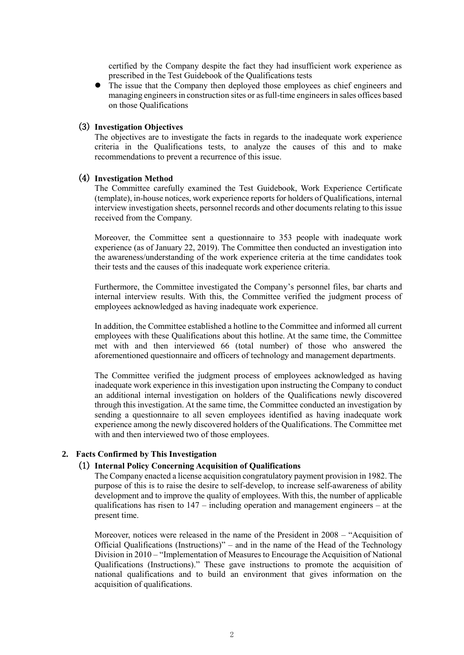certified by the Company despite the fact they had insufficient work experience as prescribed in the Test Guidebook of the Qualifications tests

• The issue that the Company then deployed those employees as chief engineers and managing engineers in construction sites or as full-time engineers in sales offices based on those Qualifications

## (3) **Investigation Objectives**

The objectives are to investigate the facts in regards to the inadequate work experience criteria in the Qualifications tests, to analyze the causes of this and to make recommendations to prevent a recurrence of this issue.

#### (4) **Investigation Method**

The Committee carefully examined the Test Guidebook, Work Experience Certificate (template), in-house notices, work experience reports for holders of Qualifications, internal interview investigation sheets, personnel records and other documents relating to this issue received from the Company.

Moreover, the Committee sent a questionnaire to 353 people with inadequate work experience (as of January 22, 2019). The Committee then conducted an investigation into the awareness/understanding of the work experience criteria at the time candidates took their tests and the causes of this inadequate work experience criteria.

Furthermore, the Committee investigated the Company's personnel files, bar charts and internal interview results. With this, the Committee verified the judgment process of employees acknowledged as having inadequate work experience.

In addition, the Committee established a hotline to the Committee and informed all current employees with these Qualifications about this hotline. At the same time, the Committee met with and then interviewed 66 (total number) of those who answered the aforementioned questionnaire and officers of technology and management departments.

The Committee verified the judgment process of employees acknowledged as having inadequate work experience in this investigation upon instructing the Company to conduct an additional internal investigation on holders of the Qualifications newly discovered through this investigation. At the same time, the Committee conducted an investigation by sending a questionnaire to all seven employees identified as having inadequate work experience among the newly discovered holders of the Qualifications. The Committee met with and then interviewed two of those employees.

#### **2. Facts Confirmed by This Investigation**

## (1) **Internal Policy Concerning Acquisition of Qualifications**

The Company enacted a license acquisition congratulatory payment provision in 1982. The purpose of this is to raise the desire to self-develop, to increase self-awareness of ability development and to improve the quality of employees. With this, the number of applicable qualifications has risen to 147 – including operation and management engineers – at the present time.

Moreover, notices were released in the name of the President in 2008 – "Acquisition of Official Qualifications (Instructions)" – and in the name of the Head of the Technology Division in 2010 – "Implementation of Measures to Encourage the Acquisition of National Qualifications (Instructions)." These gave instructions to promote the acquisition of national qualifications and to build an environment that gives information on the acquisition of qualifications.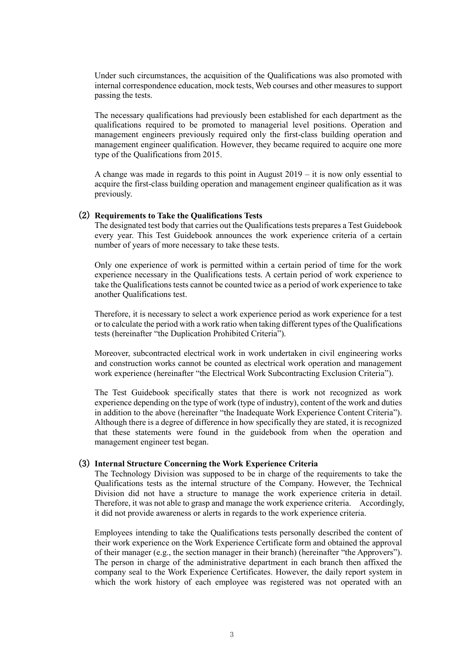Under such circumstances, the acquisition of the Qualifications was also promoted with internal correspondence education, mock tests, Web courses and other measures to support passing the tests.

The necessary qualifications had previously been established for each department as the qualifications required to be promoted to managerial level positions. Operation and management engineers previously required only the first-class building operation and management engineer qualification. However, they became required to acquire one more type of the Qualifications from 2015.

A change was made in regards to this point in August 2019 – it is now only essential to acquire the first-class building operation and management engineer qualification as it was previously.

## (2) **Requirements to Take the Qualifications Tests**

The designated test body that carries out the Qualifications tests prepares a Test Guidebook every year. This Test Guidebook announces the work experience criteria of a certain number of years of more necessary to take these tests.

Only one experience of work is permitted within a certain period of time for the work experience necessary in the Qualifications tests. A certain period of work experience to take the Qualifications tests cannot be counted twice as a period of work experience to take another Qualifications test.

Therefore, it is necessary to select a work experience period as work experience for a test or to calculate the period with a work ratio when taking different types of the Qualifications tests (hereinafter "the Duplication Prohibited Criteria").

Moreover, subcontracted electrical work in work undertaken in civil engineering works and construction works cannot be counted as electrical work operation and management work experience (hereinafter "the Electrical Work Subcontracting Exclusion Criteria").

The Test Guidebook specifically states that there is work not recognized as work experience depending on the type of work (type of industry), content of the work and duties in addition to the above (hereinafter "the Inadequate Work Experience Content Criteria"). Although there is a degree of difference in how specifically they are stated, it is recognized that these statements were found in the guidebook from when the operation and management engineer test began.

## (3) **Internal Structure Concerning the Work Experience Criteria**

The Technology Division was supposed to be in charge of the requirements to take the Qualifications tests as the internal structure of the Company. However, the Technical Division did not have a structure to manage the work experience criteria in detail. Therefore, it was not able to grasp and manage the work experience criteria. Accordingly, it did not provide awareness or alerts in regards to the work experience criteria.

Employees intending to take the Qualifications tests personally described the content of their work experience on the Work Experience Certificate form and obtained the approval of their manager (e.g., the section manager in their branch) (hereinafter "the Approvers"). The person in charge of the administrative department in each branch then affixed the company seal to the Work Experience Certificates. However, the daily report system in which the work history of each employee was registered was not operated with an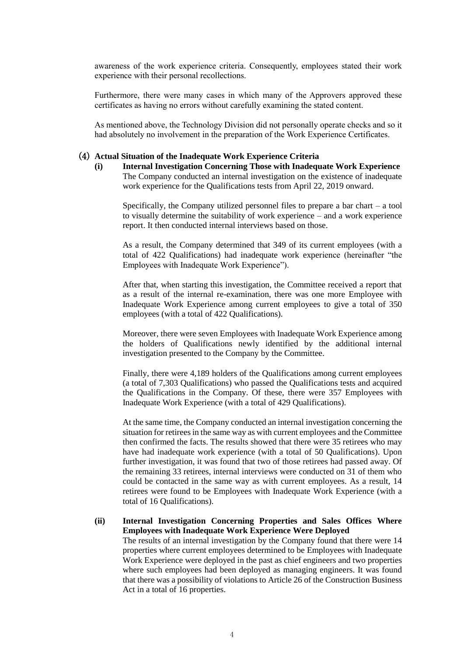awareness of the work experience criteria. Consequently, employees stated their work experience with their personal recollections.

Furthermore, there were many cases in which many of the Approvers approved these certificates as having no errors without carefully examining the stated content.

As mentioned above, the Technology Division did not personally operate checks and so it had absolutely no involvement in the preparation of the Work Experience Certificates.

#### (4) **Actual Situation of the Inadequate Work Experience Criteria**

**(i) Internal Investigation Concerning Those with Inadequate Work Experience** The Company conducted an internal investigation on the existence of inadequate work experience for the Qualifications tests from April 22, 2019 onward.

Specifically, the Company utilized personnel files to prepare a bar chart – a tool to visually determine the suitability of work experience – and a work experience report. It then conducted internal interviews based on those.

As a result, the Company determined that 349 of its current employees (with a total of 422 Qualifications) had inadequate work experience (hereinafter "the Employees with Inadequate Work Experience").

After that, when starting this investigation, the Committee received a report that as a result of the internal re-examination, there was one more Employee with Inadequate Work Experience among current employees to give a total of 350 employees (with a total of 422 Qualifications).

Moreover, there were seven Employees with Inadequate Work Experience among the holders of Qualifications newly identified by the additional internal investigation presented to the Company by the Committee.

Finally, there were 4,189 holders of the Qualifications among current employees (a total of 7,303 Qualifications) who passed the Qualifications tests and acquired the Qualifications in the Company. Of these, there were 357 Employees with Inadequate Work Experience (with a total of 429 Qualifications).

At the same time, the Company conducted an internal investigation concerning the situation for retirees in the same way as with current employees and the Committee then confirmed the facts. The results showed that there were 35 retirees who may have had inadequate work experience (with a total of 50 Qualifications). Upon further investigation, it was found that two of those retirees had passed away. Of the remaining 33 retirees, internal interviews were conducted on 31 of them who could be contacted in the same way as with current employees. As a result, 14 retirees were found to be Employees with Inadequate Work Experience (with a total of 16 Qualifications).

## **(ii) Internal Investigation Concerning Properties and Sales Offices Where Employees with Inadequate Work Experience Were Deployed**

The results of an internal investigation by the Company found that there were 14 properties where current employees determined to be Employees with Inadequate Work Experience were deployed in the past as chief engineers and two properties where such employees had been deployed as managing engineers. It was found that there was a possibility of violations to Article 26 of the Construction Business Act in a total of 16 properties.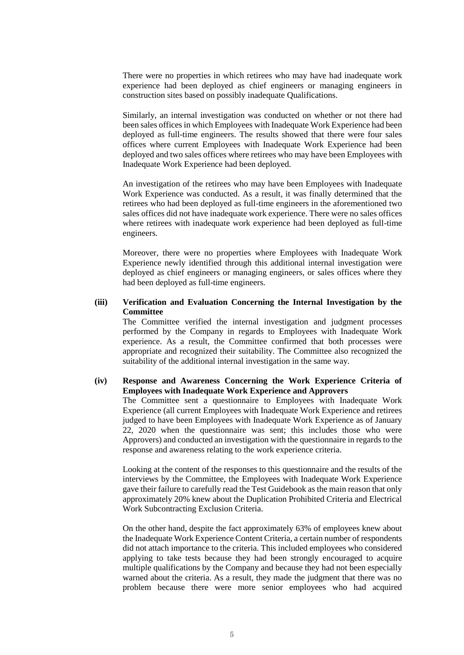There were no properties in which retirees who may have had inadequate work experience had been deployed as chief engineers or managing engineers in construction sites based on possibly inadequate Qualifications.

Similarly, an internal investigation was conducted on whether or not there had been sales offices in which Employees with Inadequate Work Experience had been deployed as full-time engineers. The results showed that there were four sales offices where current Employees with Inadequate Work Experience had been deployed and two sales offices where retirees who may have been Employees with Inadequate Work Experience had been deployed.

An investigation of the retirees who may have been Employees with Inadequate Work Experience was conducted. As a result, it was finally determined that the retirees who had been deployed as full-time engineers in the aforementioned two sales offices did not have inadequate work experience. There were no sales offices where retirees with inadequate work experience had been deployed as full-time engineers.

Moreover, there were no properties where Employees with Inadequate Work Experience newly identified through this additional internal investigation were deployed as chief engineers or managing engineers, or sales offices where they had been deployed as full-time engineers.

## **(iii) Verification and Evaluation Concerning the Internal Investigation by the Committee**

The Committee verified the internal investigation and judgment processes performed by the Company in regards to Employees with Inadequate Work experience. As a result, the Committee confirmed that both processes were appropriate and recognized their suitability. The Committee also recognized the suitability of the additional internal investigation in the same way.

## **(iv) Response and Awareness Concerning the Work Experience Criteria of Employees with Inadequate Work Experience and Approvers** The Committee sent a questionnaire to Employees with Inadequate Work

Experience (all current Employees with Inadequate Work Experience and retirees judged to have been Employees with Inadequate Work Experience as of January 22, 2020 when the questionnaire was sent; this includes those who were Approvers) and conducted an investigation with the questionnaire in regards to the response and awareness relating to the work experience criteria.

Looking at the content of the responses to this questionnaire and the results of the interviews by the Committee, the Employees with Inadequate Work Experience gave their failure to carefully read the Test Guidebook as the main reason that only approximately 20% knew about the Duplication Prohibited Criteria and Electrical Work Subcontracting Exclusion Criteria.

On the other hand, despite the fact approximately 63% of employees knew about the Inadequate Work Experience Content Criteria, a certain number of respondents did not attach importance to the criteria. This included employees who considered applying to take tests because they had been strongly encouraged to acquire multiple qualifications by the Company and because they had not been especially warned about the criteria. As a result, they made the judgment that there was no problem because there were more senior employees who had acquired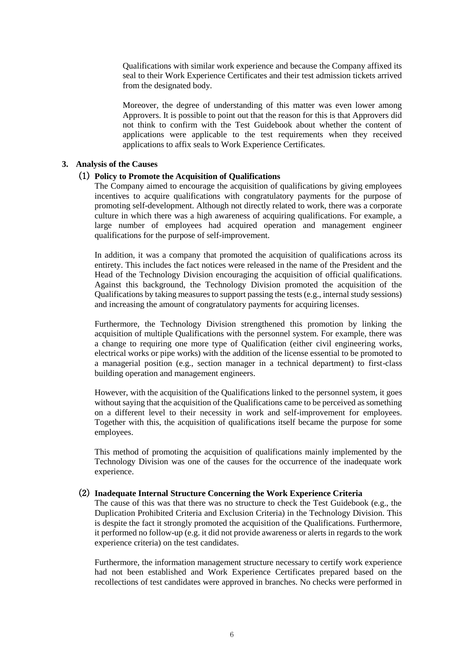Qualifications with similar work experience and because the Company affixed its seal to their Work Experience Certificates and their test admission tickets arrived from the designated body.

Moreover, the degree of understanding of this matter was even lower among Approvers. It is possible to point out that the reason for this is that Approvers did not think to confirm with the Test Guidebook about whether the content of applications were applicable to the test requirements when they received applications to affix seals to Work Experience Certificates.

#### **3. Analysis of the Causes**

## (1) **Policy to Promote the Acquisition of Qualifications**

The Company aimed to encourage the acquisition of qualifications by giving employees incentives to acquire qualifications with congratulatory payments for the purpose of promoting self-development. Although not directly related to work, there was a corporate culture in which there was a high awareness of acquiring qualifications. For example, a large number of employees had acquired operation and management engineer qualifications for the purpose of self-improvement.

In addition, it was a company that promoted the acquisition of qualifications across its entirety. This includes the fact notices were released in the name of the President and the Head of the Technology Division encouraging the acquisition of official qualifications. Against this background, the Technology Division promoted the acquisition of the Qualifications by taking measures to support passing the tests (e.g., internal study sessions) and increasing the amount of congratulatory payments for acquiring licenses.

Furthermore, the Technology Division strengthened this promotion by linking the acquisition of multiple Qualifications with the personnel system. For example, there was a change to requiring one more type of Qualification (either civil engineering works, electrical works or pipe works) with the addition of the license essential to be promoted to a managerial position (e.g., section manager in a technical department) to first-class building operation and management engineers.

However, with the acquisition of the Qualifications linked to the personnel system, it goes without saying that the acquisition of the Qualifications came to be perceived as something on a different level to their necessity in work and self-improvement for employees. Together with this, the acquisition of qualifications itself became the purpose for some employees.

This method of promoting the acquisition of qualifications mainly implemented by the Technology Division was one of the causes for the occurrence of the inadequate work experience.

## (2) **Inadequate Internal Structure Concerning the Work Experience Criteria**

The cause of this was that there was no structure to check the Test Guidebook (e.g., the Duplication Prohibited Criteria and Exclusion Criteria) in the Technology Division. This is despite the fact it strongly promoted the acquisition of the Qualifications. Furthermore, it performed no follow-up (e.g. it did not provide awareness or alerts in regards to the work experience criteria) on the test candidates.

Furthermore, the information management structure necessary to certify work experience had not been established and Work Experience Certificates prepared based on the recollections of test candidates were approved in branches. No checks were performed in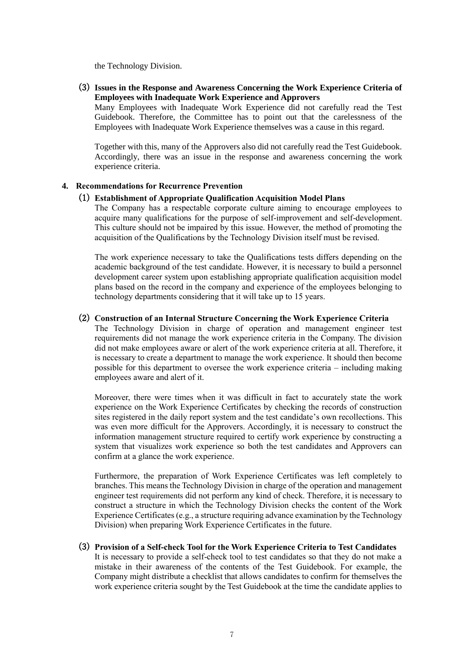the Technology Division.

(3) **Issues in the Response and Awareness Concerning the Work Experience Criteria of Employees with Inadequate Work Experience and Approvers**

Many Employees with Inadequate Work Experience did not carefully read the Test Guidebook. Therefore, the Committee has to point out that the carelessness of the Employees with Inadequate Work Experience themselves was a cause in this regard.

Together with this, many of the Approvers also did not carefully read the Test Guidebook. Accordingly, there was an issue in the response and awareness concerning the work experience criteria.

#### **4. Recommendations for Recurrence Prevention**

#### (1) **Establishment of Appropriate Qualification Acquisition Model Plans**

The Company has a respectable corporate culture aiming to encourage employees to acquire many qualifications for the purpose of self-improvement and self-development. This culture should not be impaired by this issue. However, the method of promoting the acquisition of the Qualifications by the Technology Division itself must be revised.

The work experience necessary to take the Qualifications tests differs depending on the academic background of the test candidate. However, it is necessary to build a personnel development career system upon establishing appropriate qualification acquisition model plans based on the record in the company and experience of the employees belonging to technology departments considering that it will take up to 15 years.

## (2) **Construction of an Internal Structure Concerning the Work Experience Criteria**

The Technology Division in charge of operation and management engineer test requirements did not manage the work experience criteria in the Company. The division did not make employees aware or alert of the work experience criteria at all. Therefore, it is necessary to create a department to manage the work experience. It should then become possible for this department to oversee the work experience criteria – including making employees aware and alert of it.

Moreover, there were times when it was difficult in fact to accurately state the work experience on the Work Experience Certificates by checking the records of construction sites registered in the daily report system and the test candidate's own recollections. This was even more difficult for the Approvers. Accordingly, it is necessary to construct the information management structure required to certify work experience by constructing a system that visualizes work experience so both the test candidates and Approvers can confirm at a glance the work experience.

Furthermore, the preparation of Work Experience Certificates was left completely to branches. This means the Technology Division in charge of the operation and management engineer test requirements did not perform any kind of check. Therefore, it is necessary to construct a structure in which the Technology Division checks the content of the Work Experience Certificates (e.g., a structure requiring advance examination by the Technology Division) when preparing Work Experience Certificates in the future.

# (3) **Provision of a Self-check Tool for the Work Experience Criteria to Test Candidates**

It is necessary to provide a self-check tool to test candidates so that they do not make a mistake in their awareness of the contents of the Test Guidebook. For example, the Company might distribute a checklist that allows candidates to confirm for themselves the work experience criteria sought by the Test Guidebook at the time the candidate applies to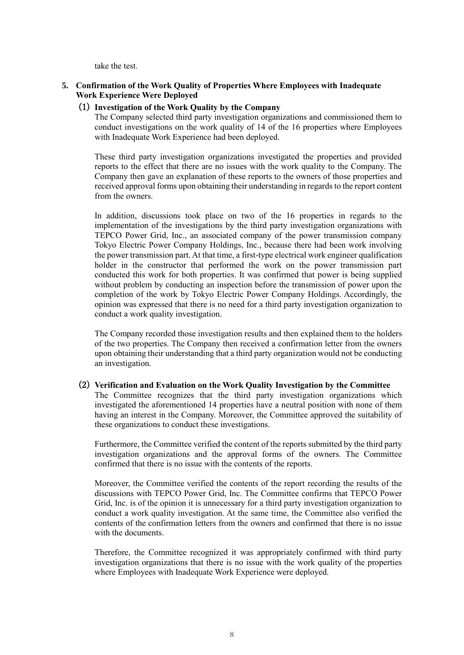take the test.

## **5. Confirmation of the Work Quality of Properties Where Employees with Inadequate Work Experience Were Deployed**

## (1) **Investigation of the Work Quality by the Company**

The Company selected third party investigation organizations and commissioned them to conduct investigations on the work quality of 14 of the 16 properties where Employees with Inadequate Work Experience had been deployed.

These third party investigation organizations investigated the properties and provided reports to the effect that there are no issues with the work quality to the Company. The Company then gave an explanation of these reports to the owners of those properties and received approval forms upon obtaining their understanding in regards to the report content from the owners.

In addition, discussions took place on two of the 16 properties in regards to the implementation of the investigations by the third party investigation organizations with TEPCO Power Grid, Inc., an associated company of the power transmission company Tokyo Electric Power Company Holdings, Inc., because there had been work involving the power transmission part. At that time, a first-type electrical work engineer qualification holder in the constructor that performed the work on the power transmission part conducted this work for both properties. It was confirmed that power is being supplied without problem by conducting an inspection before the transmission of power upon the completion of the work by Tokyo Electric Power Company Holdings. Accordingly, the opinion was expressed that there is no need for a third party investigation organization to conduct a work quality investigation.

The Company recorded those investigation results and then explained them to the holders of the two properties. The Company then received a confirmation letter from the owners upon obtaining their understanding that a third party organization would not be conducting an investigation.

## (2) **Verification and Evaluation on the Work Quality Investigation by the Committee**

The Committee recognizes that the third party investigation organizations which investigated the aforementioned 14 properties have a neutral position with none of them having an interest in the Company. Moreover, the Committee approved the suitability of these organizations to conduct these investigations.

Furthermore, the Committee verified the content of the reports submitted by the third party investigation organizations and the approval forms of the owners. The Committee confirmed that there is no issue with the contents of the reports.

Moreover, the Committee verified the contents of the report recording the results of the discussions with TEPCO Power Grid, Inc. The Committee confirms that TEPCO Power Grid, Inc. is of the opinion it is unnecessary for a third party investigation organization to conduct a work quality investigation. At the same time, the Committee also verified the contents of the confirmation letters from the owners and confirmed that there is no issue with the documents.

Therefore, the Committee recognized it was appropriately confirmed with third party investigation organizations that there is no issue with the work quality of the properties where Employees with Inadequate Work Experience were deployed.